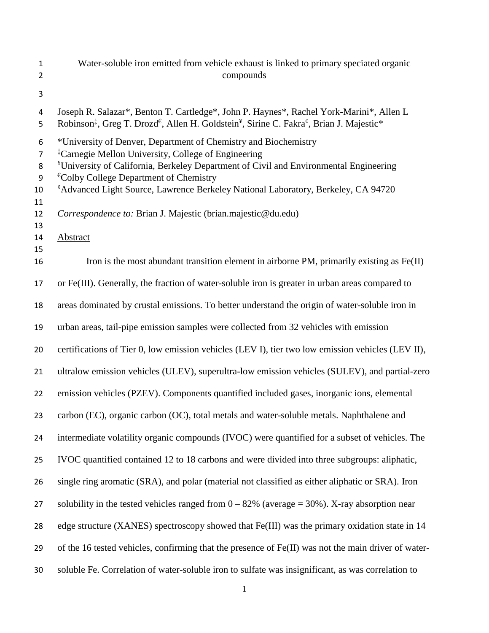- Water-soluble iron emitted from vehicle exhaust is linked to primary speciated organic compounds
- 

 Joseph R. Salazar\*, Benton T. Cartledge\*, John P. Haynes\*, Rachel York-Marini\*, Allen L 5 Robinson<sup>‡</sup>, Greg T. Drozd<sup>€</sup>, Allen H. Goldstein<sup>¥</sup>, Sirine C. Fakra<sup>¢</sup>, Brian J. Majestic\* \*University of Denver, Department of Chemistry and Biochemistry ‡ Carnegie Mellon University, College of Engineering <sup>¥</sup>University of California, Berkeley Department of Civil and Environmental Engineering  $\text{E}_\text{Colby}$  College Department of Chemistry *CAdvanced Light Source, Lawrence Berkeley National Laboratory, Berkeley, CA 94720 Correspondence to:* Brian J. Majestic (brian.majestic@du.edu) Abstract 16 Iron is the most abundant transition element in airborne PM, primarily existing as  $Fe(II)$  or Fe(III). Generally, the fraction of water-soluble iron is greater in urban areas compared to areas dominated by crustal emissions. To better understand the origin of water-soluble iron in urban areas, tail-pipe emission samples were collected from 32 vehicles with emission certifications of Tier 0, low emission vehicles (LEV I), tier two low emission vehicles (LEV II), ultralow emission vehicles (ULEV), superultra-low emission vehicles (SULEV), and partial-zero emission vehicles (PZEV). Components quantified included gases, inorganic ions, elemental carbon (EC), organic carbon (OC), total metals and water-soluble metals. Naphthalene and intermediate volatility organic compounds (IVOC) were quantified for a subset of vehicles. The IVOC quantified contained 12 to 18 carbons and were divided into three subgroups: aliphatic, single ring aromatic (SRA), and polar (material not classified as either aliphatic or SRA). Iron 27 solubility in the tested vehicles ranged from  $0 - 82%$  (average = 30%). X-ray absorption near edge structure (XANES) spectroscopy showed that Fe(III) was the primary oxidation state in 14 of the 16 tested vehicles, confirming that the presence of Fe(II) was not the main driver of water-soluble Fe. Correlation of water-soluble iron to sulfate was insignificant, as was correlation to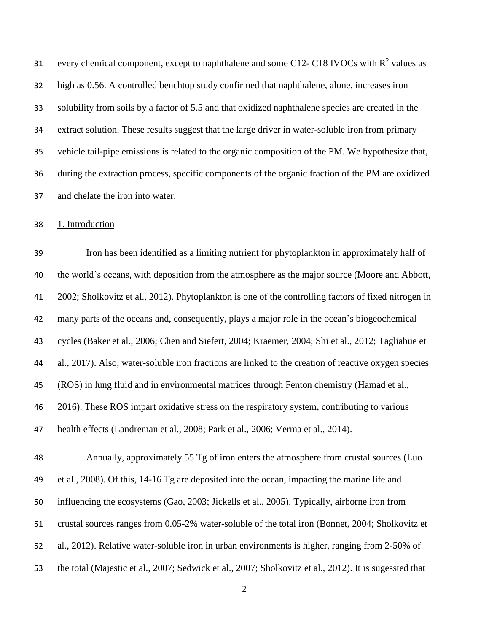31 every chemical component, except to naphthalene and some C12- C18 IVOCs with  $R^2$  values as high as 0.56. A controlled benchtop study confirmed that naphthalene, alone, increases iron solubility from soils by a factor of 5.5 and that oxidized naphthalene species are created in the extract solution. These results suggest that the large driver in water-soluble iron from primary vehicle tail-pipe emissions is related to the organic composition of the PM. We hypothesize that, during the extraction process, specific components of the organic fraction of the PM are oxidized and chelate the iron into water.

1. Introduction

 Iron has been identified as a limiting nutrient for phytoplankton in approximately half of the world's oceans, with deposition from the atmosphere as the major source (Moore and Abbott, 2002; Sholkovitz et al., 2012). Phytoplankton is one of the controlling factors of fixed nitrogen in many parts of the oceans and, consequently, plays a major role in the ocean's biogeochemical cycles (Baker et al., 2006; Chen and Siefert, 2004; Kraemer, 2004; Shi et al., 2012; Tagliabue et al., 2017). Also, water-soluble iron fractions are linked to the creation of reactive oxygen species (ROS) in lung fluid and in environmental matrices through Fenton chemistry (Hamad et al., 2016). These ROS impart oxidative stress on the respiratory system, contributing to various health effects (Landreman et al., 2008; Park et al., 2006; Verma et al., 2014).

 Annually, approximately 55 Tg of iron enters the atmosphere from crustal sources (Luo et al., 2008). Of this, 14-16 Tg are deposited into the ocean, impacting the marine life and influencing the ecosystems (Gao, 2003; Jickells et al., 2005). Typically, airborne iron from crustal sources ranges from 0.05-2% water-soluble of the total iron (Bonnet, 2004; Sholkovitz et al., 2012). Relative water-soluble iron in urban environments is higher, ranging from 2-50% of the total (Majestic et al., 2007; Sedwick et al., 2007; Sholkovitz et al., 2012). It is sugessted that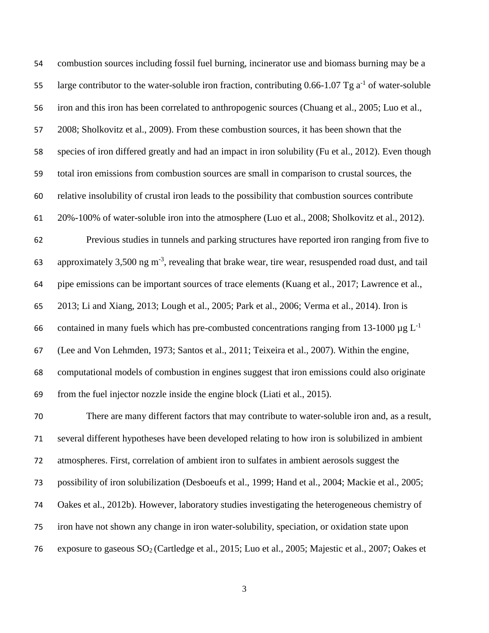combustion sources including fossil fuel burning, incinerator use and biomass burning may be a 55 large contributor to the water-soluble iron fraction, contributing  $0.66$ -1.07 Tg  $a^{-1}$  of water-soluble iron and this iron has been correlated to anthropogenic sources (Chuang et al., 2005; Luo et al., 2008; Sholkovitz et al., 2009). From these combustion sources, it has been shown that the species of iron differed greatly and had an impact in iron solubility (Fu et al., 2012). Even though total iron emissions from combustion sources are small in comparison to crustal sources, the relative insolubility of crustal iron leads to the possibility that combustion sources contribute 20%-100% of water-soluble iron into the atmosphere (Luo et al., 2008; Sholkovitz et al., 2012). Previous studies in tunnels and parking structures have reported iron ranging from five to 63 approximately  $3,500$  ng m<sup>-3</sup>, revealing that brake wear, tire wear, resuspended road dust, and tail pipe emissions can be important sources of trace elements (Kuang et al., 2017; Lawrence et al., 2013; Li and Xiang, 2013; Lough et al., 2005; Park et al., 2006; Verma et al., 2014). Iron is contained in many fuels which has pre-combusted concentrations ranging from 13-1000  $\mu$ g L<sup>-1</sup> (Lee and Von Lehmden, 1973; Santos et al., 2011; Teixeira et al., 2007). Within the engine, computational models of combustion in engines suggest that iron emissions could also originate from the fuel injector nozzle inside the engine block (Liati et al., 2015). There are many different factors that may contribute to water-soluble iron and, as a result, several different hypotheses have been developed relating to how iron is solubilized in ambient

atmospheres. First, correlation of ambient iron to sulfates in ambient aerosols suggest the

possibility of iron solubilization (Desboeufs et al., 1999; Hand et al., 2004; Mackie et al., 2005;

Oakes et al., 2012b). However, laboratory studies investigating the heterogeneous chemistry of

iron have not shown any change in iron water-solubility, speciation, or oxidation state upon

exposure to gaseous SO<sup>2</sup> (Cartledge et al., 2015; Luo et al., 2005; Majestic et al., 2007; Oakes et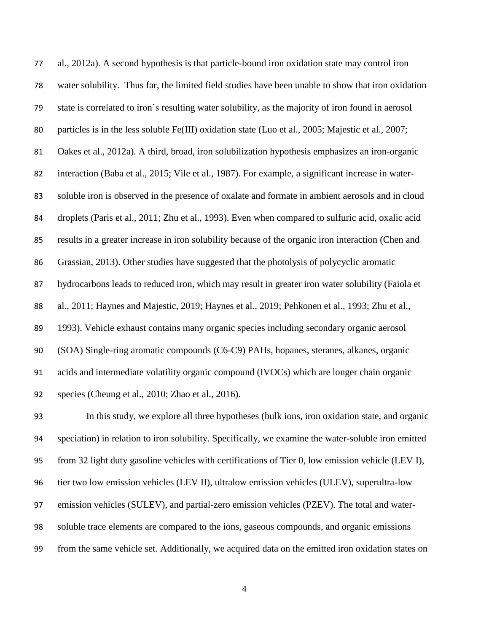al., 2012a). A second hypothesis is that particle-bound iron oxidation state may control iron water solubility. Thus far, the limited field studies have been unable to show that iron oxidation state is correlated to iron's resulting water solubility, as the majority of iron found in aerosol particles is in the less soluble Fe(III) oxidation state (Luo et al., 2005; Majestic et al., 2007; Oakes et al., 2012a). A third, broad, iron solubilization hypothesis emphasizes an iron-organic interaction (Baba et al., 2015; Vile et al., 1987). For example, a significant increase in water- soluble iron is observed in the presence of oxalate and formate in ambient aerosols and in cloud droplets (Paris et al., 2011; Zhu et al., 1993). Even when compared to sulfuric acid, oxalic acid results in a greater increase in iron solubility because of the organic iron interaction (Chen and Grassian, 2013). Other studies have suggested that the photolysis of polycyclic aromatic 87 hydrocarbons leads to reduced iron, which may result in greater iron water solubility (Faiola et al., 2011; Haynes and Majestic, 2019; Haynes et al., 2019; Pehkonen et al., 1993; Zhu et al., 1993). Vehicle exhaust contains many organic species including secondary organic aerosol (SOA) Single-ring aromatic compounds (C6-C9) PAHs, hopanes, steranes, alkanes, organic acids and intermediate volatility organic compound (IVOCs) which are longer chain organic species (Cheung et al., 2010; Zhao et al., 2016).

 In this study, we explore all three hypotheses (bulk ions, iron oxidation state, and organic speciation) in relation to iron solubility. Specifically, we examine the water-soluble iron emitted from 32 light duty gasoline vehicles with certifications of Tier 0, low emission vehicle (LEV I), tier two low emission vehicles (LEV II), ultralow emission vehicles (ULEV), superultra-low emission vehicles (SULEV), and partial-zero emission vehicles (PZEV). The total and water- soluble trace elements are compared to the ions, gaseous compounds, and organic emissions from the same vehicle set. Additionally, we acquired data on the emitted iron oxidation states on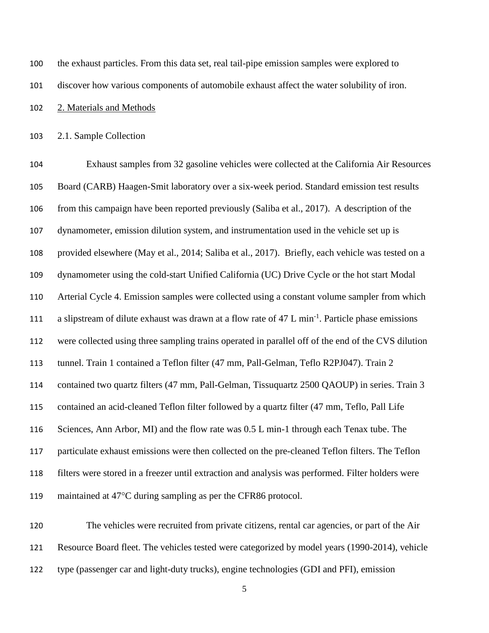| 100 | the exhaust particles. From this data set, real tail-pipe emission samples were explored to |
|-----|---------------------------------------------------------------------------------------------|
| 101 | discover how various components of automobile exhaust affect the water solubility of iron.  |
| 102 | 2. Materials and Methods                                                                    |

2.1. Sample Collection

 Exhaust samples from 32 gasoline vehicles were collected at the California Air Resources Board (CARB) Haagen-Smit laboratory over a six-week period. Standard emission test results from this campaign have been reported previously (Saliba et al., 2017). A description of the dynamometer, emission dilution system, and instrumentation used in the vehicle set up is provided elsewhere (May et al., 2014; Saliba et al., 2017). Briefly, each vehicle was tested on a dynamometer using the cold-start Unified California (UC) Drive Cycle or the hot start Modal Arterial Cycle 4. Emission samples were collected using a constant volume sampler from which 111 a slipstream of dilute exhaust was drawn at a flow rate of 47 L min<sup>-1</sup>. Particle phase emissions were collected using three sampling trains operated in parallel off of the end of the CVS dilution tunnel. Train 1 contained a Teflon filter (47 mm, Pall-Gelman, Teflo R2PJ047). Train 2 contained two quartz filters (47 mm, Pall-Gelman, Tissuquartz 2500 QAOUP) in series. Train 3 contained an acid-cleaned Teflon filter followed by a quartz filter (47 mm, Teflo, Pall Life 116 Sciences, Ann Arbor, MI) and the flow rate was 0.5 L min-1 through each Tenax tube. The particulate exhaust emissions were then collected on the pre-cleaned Teflon filters. The Teflon filters were stored in a freezer until extraction and analysis was performed. Filter holders were 119 maintained at  $47^{\circ}$ C during sampling as per the CFR86 protocol.

 The vehicles were recruited from private citizens, rental car agencies, or part of the Air Resource Board fleet. The vehicles tested were categorized by model years (1990-2014), vehicle type (passenger car and light-duty trucks), engine technologies (GDI and PFI), emission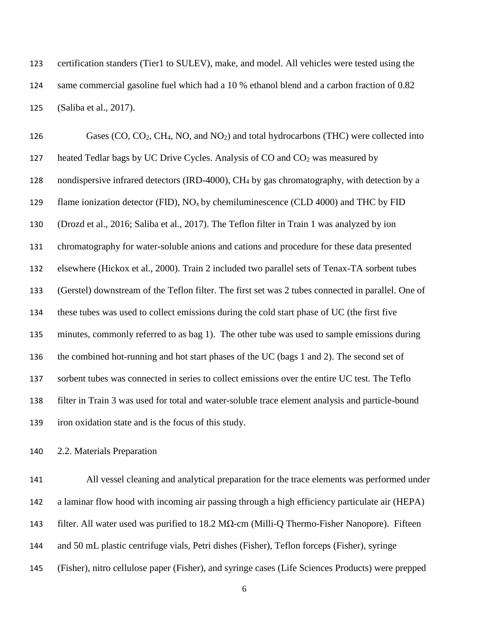certification standers (Tier1 to SULEV), make, and model. All vehicles were tested using the same commercial gasoline fuel which had a 10 % ethanol blend and a carbon fraction of 0.82 (Saliba et al., 2017).

126 Gases (CO, CO<sub>2</sub>, CH<sub>4</sub>, NO, and NO<sub>2</sub>) and total hydrocarbons (THC) were collected into 127 heated Tedlar bags by UC Drive Cycles. Analysis of CO and CO<sub>2</sub> was measured by 128 nondispersive infrared detectors (IRD-4000), CH<sub>4</sub> by gas chromatography, with detection by a 129 flame ionization detector (FID),  $NO_x$  by chemiluminescence (CLD 4000) and THC by FID (Drozd et al., 2016; Saliba et al., 2017). The Teflon filter in Train 1 was analyzed by ion chromatography for water-soluble anions and cations and procedure for these data presented elsewhere (Hickox et al., 2000). Train 2 included two parallel sets of Tenax-TA sorbent tubes (Gerstel) downstream of the Teflon filter. The first set was 2 tubes connected in parallel. One of these tubes was used to collect emissions during the cold start phase of UC (the first five minutes, commonly referred to as bag 1). The other tube was used to sample emissions during the combined hot-running and hot start phases of the UC (bags 1 and 2). The second set of sorbent tubes was connected in series to collect emissions over the entire UC test. The Teflo filter in Train 3 was used for total and water-soluble trace element analysis and particle-bound iron oxidation state and is the focus of this study.

2.2. Materials Preparation

 All vessel cleaning and analytical preparation for the trace elements was performed under a laminar flow hood with incoming air passing through a high efficiency particulate air (HEPA) 143 filter. All water used was purified to  $18.2 \text{ M}\Omega$ -cm (Milli-Q Thermo-Fisher Nanopore). Fifteen and 50 mL plastic centrifuge vials, Petri dishes (Fisher), Teflon forceps (Fisher), syringe (Fisher), nitro cellulose paper (Fisher), and syringe cases (Life Sciences Products) were prepped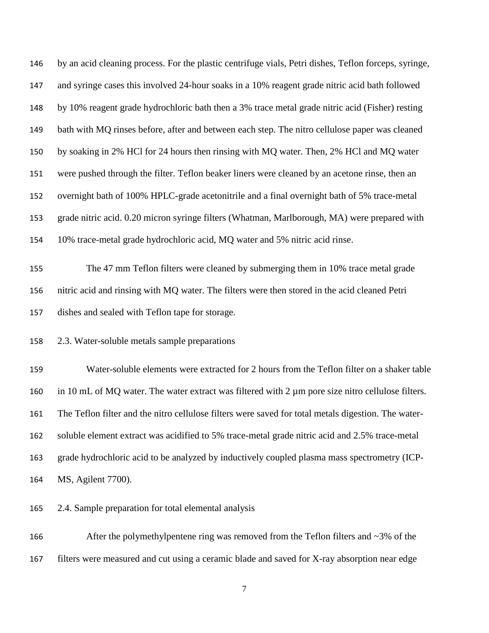| 146 | by an acid cleaning process. For the plastic centrifuge vials, Petri dishes, Teflon forceps, syringe,  |  |  |  |
|-----|--------------------------------------------------------------------------------------------------------|--|--|--|
| 147 | and syringe cases this involved 24-hour soaks in a 10% reagent grade nitric acid bath followed         |  |  |  |
| 148 | by 10% reagent grade hydrochloric bath then a 3% trace metal grade nitric acid (Fisher) resting        |  |  |  |
| 149 | bath with MQ rinses before, after and between each step. The nitro cellulose paper was cleaned         |  |  |  |
| 150 | by soaking in 2% HCl for 24 hours then rinsing with MQ water. Then, 2% HCl and MQ water                |  |  |  |
| 151 | were pushed through the filter. Teflon beaker liners were cleaned by an acetone rinse, then an         |  |  |  |
| 152 | overnight bath of 100% HPLC-grade acetonitrile and a final overnight bath of 5% trace-metal            |  |  |  |
| 153 | grade nitric acid. 0.20 micron syringe filters (Whatman, Marlborough, MA) were prepared with           |  |  |  |
| 154 | 10% trace-metal grade hydrochloric acid, MQ water and 5% nitric acid rinse.                            |  |  |  |
| 155 | The 47 mm Teflon filters were cleaned by submerging them in 10% trace metal grade                      |  |  |  |
| 156 | nitric acid and rinsing with MQ water. The filters were then stored in the acid cleaned Petri          |  |  |  |
| 157 | dishes and sealed with Teflon tape for storage.                                                        |  |  |  |
| 158 | 2.3. Water-soluble metals sample preparations                                                          |  |  |  |
| 159 | Water-soluble elements were extracted for 2 hours from the Teflon filter on a shaker table             |  |  |  |
| 160 | in 10 mL of MQ water. The water extract was filtered with $2 \mu m$ pore size nitro cellulose filters. |  |  |  |
| 161 | The Teflon filter and the nitro cellulose filters were saved for total metals digestion. The water-    |  |  |  |
| 162 | soluble element extract was acidified to 5% trace-metal grade nitric acid and 2.5% trace-metal         |  |  |  |
| 163 | grade hydrochloric acid to be analyzed by inductively coupled plasma mass spectrometry (ICP-           |  |  |  |
| 164 | MS, Agilent 7700).                                                                                     |  |  |  |
| 165 | 2.4. Sample preparation for total elemental analysis                                                   |  |  |  |

166 After the polymethylpentene ring was removed from the Teflon filters and ~3% of the filters were measured and cut using a ceramic blade and saved for X-ray absorption near edge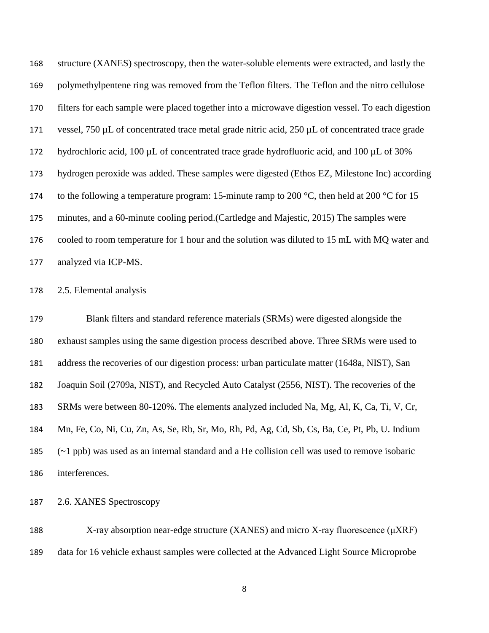structure (XANES) spectroscopy, then the water-soluble elements were extracted, and lastly the polymethylpentene ring was removed from the Teflon filters. The Teflon and the nitro cellulose filters for each sample were placed together into a microwave digestion vessel. To each digestion vessel, 750 µL of concentrated trace metal grade nitric acid, 250 µL of concentrated trace grade 172 hydrochloric acid, 100 µL of concentrated trace grade hydrofluoric acid, and 100 µL of 30% hydrogen peroxide was added. These samples were digested (Ethos EZ, Milestone Inc) according 174 to the following a temperature program: 15-minute ramp to 200  $\degree$ C, then held at 200  $\degree$ C for 15 minutes, and a 60-minute cooling period.(Cartledge and Majestic, 2015) The samples were cooled to room temperature for 1 hour and the solution was diluted to 15 mL with MQ water and analyzed via ICP-MS.

2.5. Elemental analysis

 Blank filters and standard reference materials (SRMs) were digested alongside the exhaust samples using the same digestion process described above. Three SRMs were used to address the recoveries of our digestion process: urban particulate matter (1648a, NIST), San Joaquin Soil (2709a, NIST), and Recycled Auto Catalyst (2556, NIST). The recoveries of the SRMs were between 80-120%. The elements analyzed included Na, Mg, Al, K, Ca, Ti, V, Cr, Mn, Fe, Co, Ni, Cu, Zn, As, Se, Rb, Sr, Mo, Rh, Pd, Ag, Cd, Sb, Cs, Ba, Ce, Pt, Pb, U. Indium (~1 ppb) was used as an internal standard and a He collision cell was used to remove isobaric interferences.

2.6. XANES Spectroscopy

 X-ray absorption near-edge structure (XANES) and micro X-ray fluorescence (μXRF) data for 16 vehicle exhaust samples were collected at the Advanced Light Source Microprobe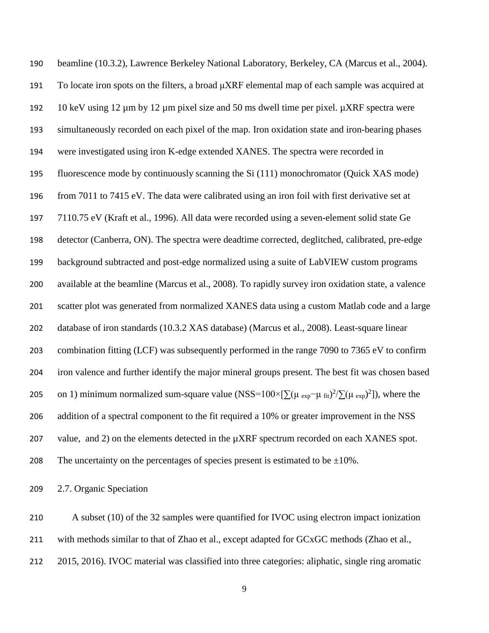beamline (10.3.2), Lawrence Berkeley National Laboratory, Berkeley, CA (Marcus et al., 2004). 191 To locate iron spots on the filters, a broad  $\mu$ XRF elemental map of each sample was acquired at 192 10 keV using  $12 \mu m$  by  $12 \mu m$  pixel size and 50 ms dwell time per pixel.  $\mu$ XRF spectra were simultaneously recorded on each pixel of the map. Iron oxidation state and iron-bearing phases were investigated using iron K-edge extended XANES. The spectra were recorded in fluorescence mode by continuously scanning the Si (111) monochromator (Quick XAS mode) from 7011 to 7415 eV. The data were calibrated using an iron foil with first derivative set at 7110.75 eV (Kraft et al., 1996). All data were recorded using a seven-element solid state Ge detector (Canberra, ON). The spectra were deadtime corrected, deglitched, calibrated, pre-edge background subtracted and post-edge normalized using a suite of LabVIEW custom programs available at the beamline (Marcus et al., 2008). To rapidly survey iron oxidation state, a valence scatter plot was generated from normalized XANES data using a custom Matlab code and a large database of iron standards (10.3.2 XAS database) (Marcus et al., 2008). Least-square linear combination fitting (LCF) was subsequently performed in the range 7090 to 7365 eV to confirm iron valence and further identify the major mineral groups present. The best fit was chosen based 205 on 1) minimum normalized sum-square value (NSS=100×[ $\sum (\mu_{exp} - \mu_{fit})^2 / \sum (\mu_{exp})^2$ ]), where the addition of a spectral component to the fit required a 10% or greater improvement in the NSS 207 value, and 2) on the elements detected in the  $\mu XRF$  spectrum recorded on each XANES spot. 208 The uncertainty on the percentages of species present is estimated to be  $\pm 10\%$ .

2.7. Organic Speciation

 A subset (10) of the 32 samples were quantified for IVOC using electron impact ionization 211 with methods similar to that of Zhao et al., except adapted for GCxGC methods (Zhao et al., 2015, 2016). IVOC material was classified into three categories: aliphatic, single ring aromatic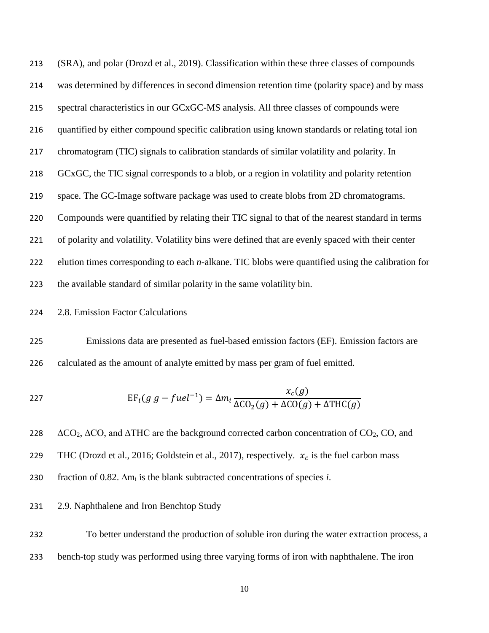(SRA), and polar (Drozd et al., 2019). Classification within these three classes of compounds was determined by differences in second dimension retention time (polarity space) and by mass spectral characteristics in our GCxGC-MS analysis. All three classes of compounds were quantified by either compound specific calibration using known standards or relating total ion chromatogram (TIC) signals to calibration standards of similar volatility and polarity. In GCxGC, the TIC signal corresponds to a blob, or a region in volatility and polarity retention space. The GC-Image software package was used to create blobs from 2D chromatograms. Compounds were quantified by relating their TIC signal to that of the nearest standard in terms of polarity and volatility. Volatility bins were defined that are evenly spaced with their center elution times corresponding to each *n*-alkane. TIC blobs were quantified using the calibration for the available standard of similar polarity in the same volatility bin.

2.8. Emission Factor Calculations

 Emissions data are presented as fuel-based emission factors (EF). Emission factors are calculated as the amount of analyte emitted by mass per gram of fuel emitted.

$$
EF_i(g \ g - fuel^{-1}) = \Delta m_i \frac{x_c(g)}{\Delta CO_2(g) + \Delta CO(g) + \Delta THC(g)}
$$

228  $\Delta CO_2$ ,  $\Delta CO$ , and  $\Delta THC$  are the background corrected carbon concentration of  $CO_2$ , CO, and 229 THC (Drozd et al., 2016; Goldstein et al., 2017), respectively.  $x_c$  is the fuel carbon mass fraction of 0.82. ∆m<sup>i</sup> is the blank subtracted concentrations of species *i*.

## 2.9. Naphthalene and Iron Benchtop Study

 To better understand the production of soluble iron during the water extraction process, a bench-top study was performed using three varying forms of iron with naphthalene. The iron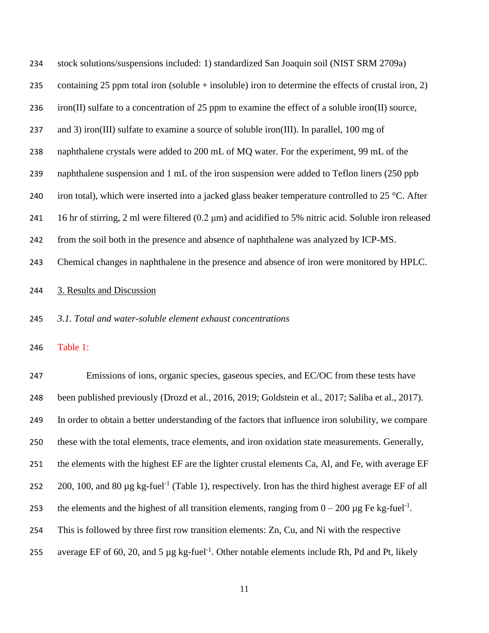| 234 | stock solutions/suspensions included: 1) standardized San Joaquin soil (NIST SRM 2709a)                              |
|-----|----------------------------------------------------------------------------------------------------------------------|
| 235 | containing 25 ppm total iron (soluble + insoluble) iron to determine the effects of crustal iron, 2)                 |
| 236 | iron(II) sulfate to a concentration of 25 ppm to examine the effect of a soluble iron(II) source,                    |
| 237 | and 3) iron(III) sulfate to examine a source of soluble iron(III). In parallel, 100 mg of                            |
| 238 | naphthalene crystals were added to 200 mL of MQ water. For the experiment, 99 mL of the                              |
| 239 | naphthalene suspension and 1 mL of the iron suspension were added to Teflon liners (250 ppb                          |
| 240 | iron total), which were inserted into a jacked glass beaker temperature controlled to 25 °C. After                   |
| 241 | 16 hr of stirring, 2 ml were filtered $(0.2 \mu m)$ and acidified to 5% nitric acid. Soluble iron released           |
| 242 | from the soil both in the presence and absence of naphthalene was analyzed by ICP-MS.                                |
| 243 | Chemical changes in naphthalene in the presence and absence of iron were monitored by HPLC.                          |
| 244 | 3. Results and Discussion                                                                                            |
| 245 | 3.1. Total and water-soluble element exhaust concentrations                                                          |
| 246 | Table 1:                                                                                                             |
| 247 | Emissions of ions, organic species, gaseous species, and EC/OC from these tests have                                 |
| 248 | been published previously (Drozd et al., 2016, 2019; Goldstein et al., 2017; Saliba et al., 2017).                   |
| 249 | In order to obtain a better understanding of the factors that influence iron solubility, we compare                  |
| 250 | these with the total elements, trace elements, and iron oxidation state measurements. Generally,                     |
| 251 | the elements with the highest EF are the lighter crustal elements Ca, Al, and Fe, with average EF                    |
| 252 | 200, 100, and 80 $\mu$ g kg-fuel <sup>-1</sup> (Table 1), respectively. Iron has the third highest average EF of all |
| 253 | the elements and the highest of all transition elements, ranging from $0 - 200 \mu g$ Fe kg-fuel <sup>-1</sup> .     |
|     |                                                                                                                      |
| 254 | This is followed by three first row transition elements: Zn, Cu, and Ni with the respective                          |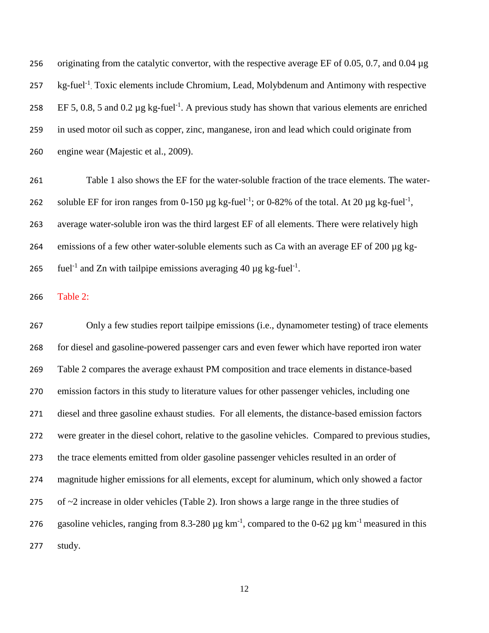originating from the catalytic convertor, with the respective average EF of 0.05, 0.7, and 0.04 µg 257 kg-fuel<sup>-1</sup>. Toxic elements include Chromium, Lead, Molybdenum and Antimony with respective 258 EF 5, 0.8, 5 and 0.2  $\mu$ g kg-fuel<sup>-1</sup>. A previous study has shown that various elements are enriched in used motor oil such as copper, zinc, manganese, iron and lead which could originate from engine wear (Majestic et al., 2009).

 Table 1 also shows the EF for the water-soluble fraction of the trace elements. The water-262 soluble EF for iron ranges from 0-150  $\mu$ g kg-fuel<sup>-1</sup>; or 0-82% of the total. At 20  $\mu$ g kg-fuel<sup>-1</sup>, average water-soluble iron was the third largest EF of all elements. There were relatively high emissions of a few other water-soluble elements such as Ca with an average EF of 200 µg kg-265 fuel<sup>-1</sup> and Zn with tailpipe emissions averaging 40  $\mu$ g kg-fuel<sup>-1</sup>.

Table 2:

 Only a few studies report tailpipe emissions (i.e., dynamometer testing) of trace elements for diesel and gasoline-powered passenger cars and even fewer which have reported iron water Table 2 compares the average exhaust PM composition and trace elements in distance-based emission factors in this study to literature values for other passenger vehicles, including one diesel and three gasoline exhaust studies. For all elements, the distance-based emission factors were greater in the diesel cohort, relative to the gasoline vehicles. Compared to previous studies, the trace elements emitted from older gasoline passenger vehicles resulted in an order of magnitude higher emissions for all elements, except for aluminum, which only showed a factor of ~2 increase in older vehicles (Table 2). Iron shows a large range in the three studies of 276 gasoline vehicles, ranging from 8.3-280  $\mu$ g km<sup>-1</sup>, compared to the 0-62  $\mu$ g km<sup>-1</sup> measured in this study.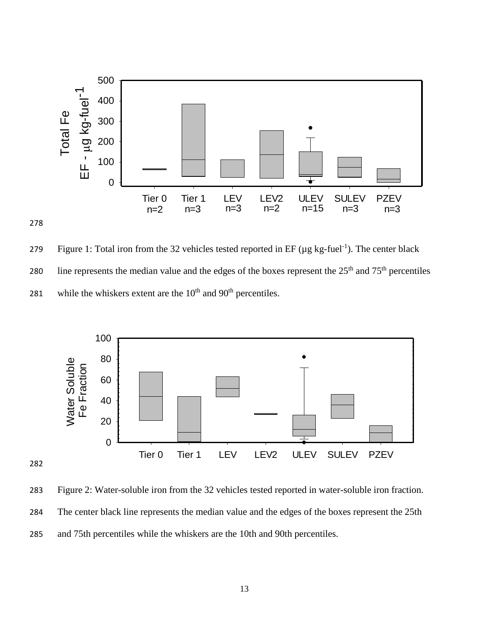



279 Figure 1: Total iron from the 32 vehicles tested reported in EF ( $\mu$ g kg-fuel<sup>-1</sup>). The center black 280 line represents the median value and the edges of the boxes represent the  $25<sup>th</sup>$  and  $75<sup>th</sup>$  percentiles 281 while the whiskers extent are the  $10<sup>th</sup>$  and  $90<sup>th</sup>$  percentiles.



 Figure 2: Water-soluble iron from the 32 vehicles tested reported in water-soluble iron fraction. The center black line represents the median value and the edges of the boxes represent the 25th and 75th percentiles while the whiskers are the 10th and 90th percentiles.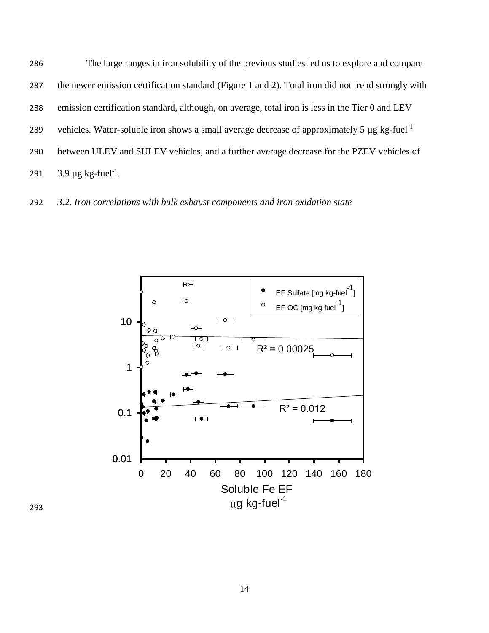The large ranges in iron solubility of the previous studies led us to explore and compare the newer emission certification standard (Figure 1 and 2). Total iron did not trend strongly with emission certification standard, although, on average, total iron is less in the Tier 0 and LEV vehicles. Water-soluble iron shows a small average decrease of approximately 5  $\mu$ g kg-fuel<sup>-1</sup> 289 between ULEV and SULEV vehicles, and a further average decrease for the PZEV vehicles of  $3.9 \,\mu g$  kg-fuel<sup>-1</sup>.

292 *3.2. Iron correlations with bulk exhaust components and iron oxidation state*

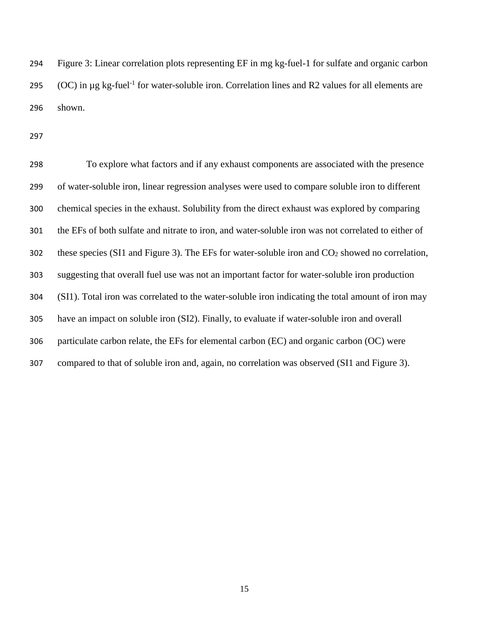Figure 3: Linear correlation plots representing EF in mg kg-fuel-1 for sulfate and organic carbon 295 (OC) in  $\mu$ g kg-fuel<sup>-1</sup> for water-soluble iron. Correlation lines and R2 values for all elements are shown.

 To explore what factors and if any exhaust components are associated with the presence of water-soluble iron, linear regression analyses were used to compare soluble iron to different chemical species in the exhaust. Solubility from the direct exhaust was explored by comparing the EFs of both sulfate and nitrate to iron, and water-soluble iron was not correlated to either of 302 these species (SI1 and Figure 3). The EFs for water-soluble iron and  $CO<sub>2</sub>$  showed no correlation, suggesting that overall fuel use was not an important factor for water-soluble iron production (SI1). Total iron was correlated to the water-soluble iron indicating the total amount of iron may have an impact on soluble iron (SI2). Finally, to evaluate if water-soluble iron and overall particulate carbon relate, the EFs for elemental carbon (EC) and organic carbon (OC) were compared to that of soluble iron and, again, no correlation was observed (SI1 and Figure 3).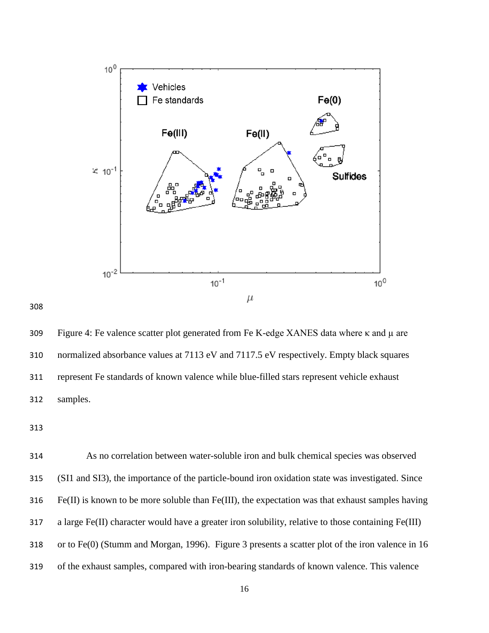

 Figure 4: Fe valence scatter plot generated from Fe K-edge XANES data where κ and µ are normalized absorbance values at 7113 eV and 7117.5 eV respectively. Empty black squares represent Fe standards of known valence while blue-filled stars represent vehicle exhaust samples.

 As no correlation between water-soluble iron and bulk chemical species was observed (SI1 and SI3), the importance of the particle-bound iron oxidation state was investigated. Since Fe(II) is known to be more soluble than Fe(III), the expectation was that exhaust samples having a large Fe(II) character would have a greater iron solubility, relative to those containing Fe(III) or to Fe(0) (Stumm and Morgan, 1996). Figure 3 presents a scatter plot of the iron valence in 16 of the exhaust samples, compared with iron-bearing standards of known valence. This valence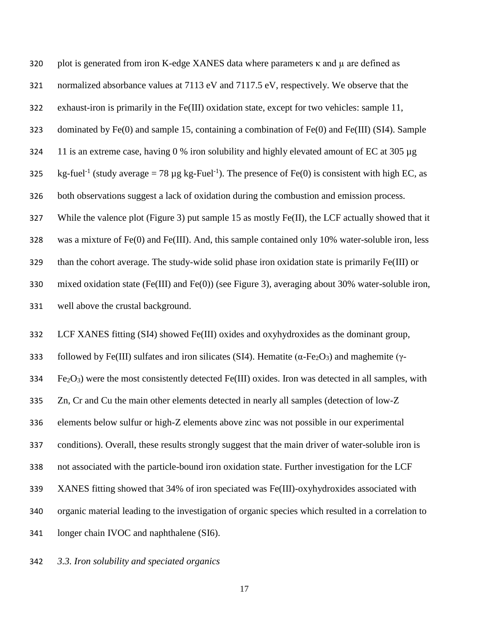| 320 | plot is generated from iron K-edge XANES data where parameters $\kappa$ and $\mu$ are defined as                                        |  |  |
|-----|-----------------------------------------------------------------------------------------------------------------------------------------|--|--|
| 321 | normalized absorbance values at 7113 eV and 7117.5 eV, respectively. We observe that the                                                |  |  |
| 322 | exhaust-iron is primarily in the Fe(III) oxidation state, except for two vehicles: sample 11,                                           |  |  |
| 323 | dominated by $Fe(0)$ and sample 15, containing a combination of $Fe(0)$ and $Fe(III)$ (SI4). Sample                                     |  |  |
| 324 | 11 is an extreme case, having 0 % iron solubility and highly elevated amount of EC at 305 $\mu$ g                                       |  |  |
| 325 | kg-fuel <sup>-1</sup> (study average = 78 µg kg-Fuel <sup>-1</sup> ). The presence of Fe(0) is consistent with high EC, as              |  |  |
| 326 | both observations suggest a lack of oxidation during the combustion and emission process.                                               |  |  |
| 327 | While the valence plot (Figure 3) put sample 15 as mostly $Fe(II)$ , the LCF actually showed that it                                    |  |  |
| 328 | was a mixture of $Fe(0)$ and $Fe(III)$ . And, this sample contained only 10% water-soluble iron, less                                   |  |  |
| 329 | than the cohort average. The study-wide solid phase iron oxidation state is primarily Fe(III) or                                        |  |  |
| 330 | mixed oxidation state (Fe(III) and Fe(0)) (see Figure 3), averaging about 30% water-soluble iron,                                       |  |  |
| 331 | well above the crustal background.                                                                                                      |  |  |
| 332 | LCF XANES fitting (SI4) showed Fe(III) oxides and oxyhydroxides as the dominant group,                                                  |  |  |
| 333 | followed by Fe(III) sulfates and iron silicates (SI4). Hematite ( $\alpha$ -Fe <sub>2</sub> O <sub>3</sub> ) and maghemite ( $\gamma$ - |  |  |

 $Fe<sub>2</sub>O<sub>3</sub>$ ) were the most consistently detected Fe(III) oxides. Iron was detected in all samples, with

Zn, Cr and Cu the main other elements detected in nearly all samples (detection of low-Z

elements below sulfur or high-Z elements above zinc was not possible in our experimental

conditions). Overall, these results strongly suggest that the main driver of water-soluble iron is

not associated with the particle-bound iron oxidation state. Further investigation for the LCF

XANES fitting showed that 34% of iron speciated was Fe(III)-oxyhydroxides associated with

organic material leading to the investigation of organic species which resulted in a correlation to

longer chain IVOC and naphthalene (SI6).

*3.3. Iron solubility and speciated organics*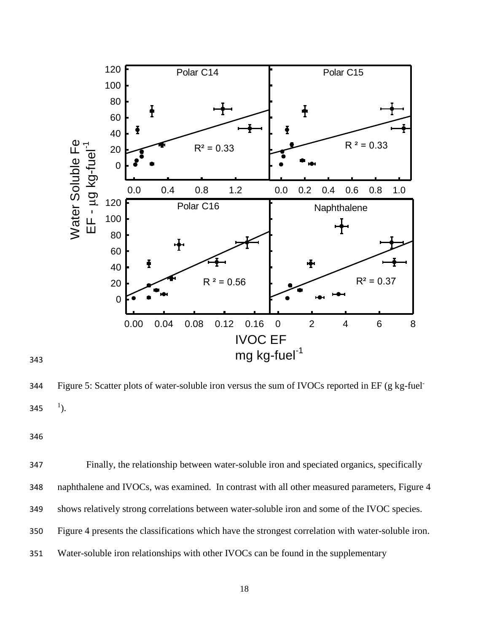

Figure 5: Scatter plots of water-soluble iron versus the sum of IVOCs reported in EF (g kg-fuel-  $^{1}$ ). 

 Finally, the relationship between water-soluble iron and speciated organics, specifically naphthalene and IVOCs, was examined. In contrast with all other measured parameters, Figure 4 shows relatively strong correlations between water-soluble iron and some of the IVOC species. Figure 4 presents the classifications which have the strongest correlation with water-soluble iron. Water-soluble iron relationships with other IVOCs can be found in the supplementary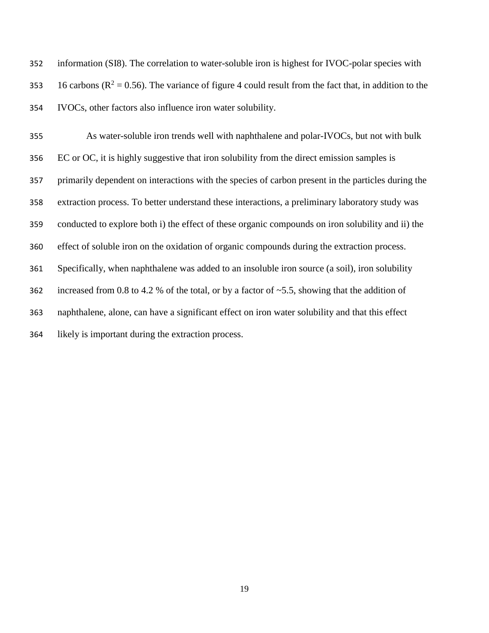information (SI8). The correlation to water-soluble iron is highest for IVOC-polar species with 353 16 carbons ( $R^2 = 0.56$ ). The variance of figure 4 could result from the fact that, in addition to the IVOCs, other factors also influence iron water solubility.

 As water-soluble iron trends well with naphthalene and polar-IVOCs, but not with bulk EC or OC, it is highly suggestive that iron solubility from the direct emission samples is primarily dependent on interactions with the species of carbon present in the particles during the extraction process. To better understand these interactions, a preliminary laboratory study was conducted to explore both i) the effect of these organic compounds on iron solubility and ii) the effect of soluble iron on the oxidation of organic compounds during the extraction process. Specifically, when naphthalene was added to an insoluble iron source (a soil), iron solubility 362 increased from 0.8 to 4.2 % of the total, or by a factor of  $\sim$  5.5, showing that the addition of naphthalene, alone, can have a significant effect on iron water solubility and that this effect likely is important during the extraction process.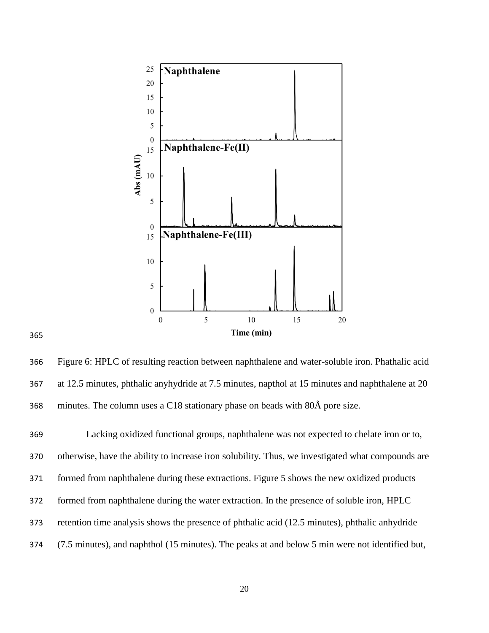

 Figure 6: HPLC of resulting reaction between naphthalene and water-soluble iron. Phathalic acid at 12.5 minutes, phthalic anyhydride at 7.5 minutes, napthol at 15 minutes and naphthalene at 20 minutes. The column uses a C18 stationary phase on beads with 80Å pore size.

 Lacking oxidized functional groups, naphthalene was not expected to chelate iron or to, otherwise, have the ability to increase iron solubility. Thus, we investigated what compounds are formed from naphthalene during these extractions. Figure 5 shows the new oxidized products formed from naphthalene during the water extraction. In the presence of soluble iron, HPLC retention time analysis shows the presence of phthalic acid (12.5 minutes), phthalic anhydride (7.5 minutes), and naphthol (15 minutes). The peaks at and below 5 min were not identified but,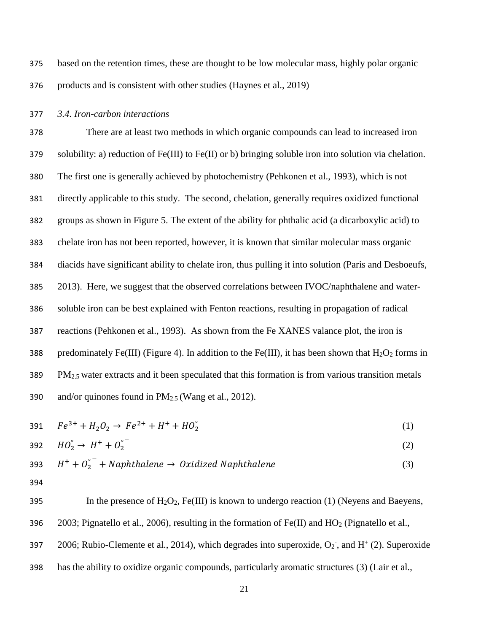375 based on the retention times, these are thought to be low molecular mass, highly polar organic 376 products and is consistent with other studies (Haynes et al., 2019)

## 377 *3.4. Iron-carbon interactions*

 There are at least two methods in which organic compounds can lead to increased iron solubility: a) reduction of Fe(III) to Fe(II) or b) bringing soluble iron into solution via chelation. The first one is generally achieved by photochemistry (Pehkonen et al., 1993), which is not directly applicable to this study. The second, chelation, generally requires oxidized functional groups as shown in Figure 5. The extent of the ability for phthalic acid (a dicarboxylic acid) to chelate iron has not been reported, however, it is known that similar molecular mass organic diacids have significant ability to chelate iron, thus pulling it into solution (Paris and Desboeufs, 2013). Here, we suggest that the observed correlations between IVOC/naphthalene and water- soluble iron can be best explained with Fenton reactions, resulting in propagation of radical reactions (Pehkonen et al., 1993). As shown from the Fe XANES valance plot, the iron is 388 predominately Fe(III) (Figure 4). In addition to the Fe(III), it has been shown that  $H_2O_2$  forms in PM<sub>2.5</sub> water extracts and it been speculated that this formation is from various transition metals 390 and/or quinones found in  $PM_{2.5}$  (Wang et al., 2012).

$$
391 \tFe3+ + H2O2 \to Fe2+ + H+ + HO2°
$$
 (1)

392 
$$
HO_2^{\circ} \to H^+ + O_2^{\circ} \tag{2}
$$

393 
$$
H^+ + O_2^{\circ^-}
$$
 + Naphthalene  $\rightarrow$  Oxidized Naphthalene (3)

394

395 In the presence of  $H_2O_2$ , Fe(III) is known to undergo reaction (1) (Neyens and Baeyens, 396 2003; Pignatello et al., 2006), resulting in the formation of Fe(II) and  $HO_2$  (Pignatello et al., 397 2006; Rubio-Clemente et al., 2014), which degrades into superoxide,  $O_2$ <sup>-</sup>, and  $H^+(2)$ . Superoxide 398 has the ability to oxidize organic compounds, particularly aromatic structures (3) (Lair et al.,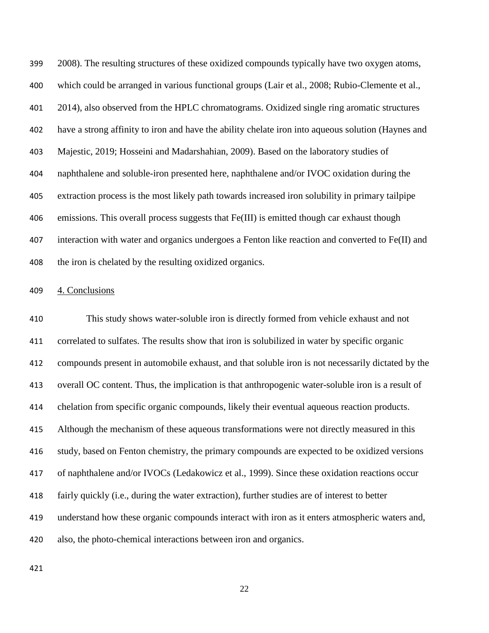2008). The resulting structures of these oxidized compounds typically have two oxygen atoms, which could be arranged in various functional groups (Lair et al., 2008; Rubio-Clemente et al., 2014), also observed from the HPLC chromatograms. Oxidized single ring aromatic structures have a strong affinity to iron and have the ability chelate iron into aqueous solution (Haynes and Majestic, 2019; Hosseini and Madarshahian, 2009). Based on the laboratory studies of naphthalene and soluble-iron presented here, naphthalene and/or IVOC oxidation during the extraction process is the most likely path towards increased iron solubility in primary tailpipe emissions. This overall process suggests that Fe(III) is emitted though car exhaust though interaction with water and organics undergoes a Fenton like reaction and converted to Fe(II) and 408 the iron is chelated by the resulting oxidized organics.

## 4. Conclusions

 This study shows water-soluble iron is directly formed from vehicle exhaust and not correlated to sulfates. The results show that iron is solubilized in water by specific organic compounds present in automobile exhaust, and that soluble iron is not necessarily dictated by the overall OC content. Thus, the implication is that anthropogenic water-soluble iron is a result of chelation from specific organic compounds, likely their eventual aqueous reaction products. Although the mechanism of these aqueous transformations were not directly measured in this study, based on Fenton chemistry, the primary compounds are expected to be oxidized versions of naphthalene and/or IVOCs (Ledakowicz et al., 1999). Since these oxidation reactions occur fairly quickly (i.e., during the water extraction), further studies are of interest to better understand how these organic compounds interact with iron as it enters atmospheric waters and, also, the photo-chemical interactions between iron and organics.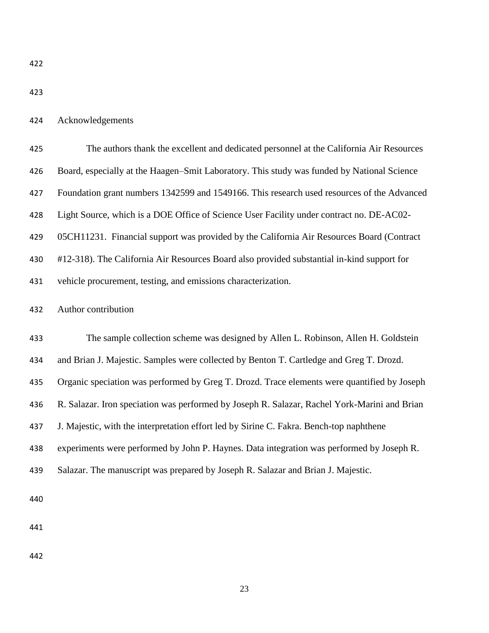Acknowledgements

| 425 | The authors thank the excellent and dedicated personnel at the California Air Resources      |  |  |  |
|-----|----------------------------------------------------------------------------------------------|--|--|--|
| 426 | Board, especially at the Haagen–Smit Laboratory. This study was funded by National Science   |  |  |  |
| 427 | Foundation grant numbers 1342599 and 1549166. This research used resources of the Advanced   |  |  |  |
| 428 | Light Source, which is a DOE Office of Science User Facility under contract no. DE-AC02-     |  |  |  |
| 429 | 05CH11231. Financial support was provided by the California Air Resources Board (Contract    |  |  |  |
| 430 | #12-318). The California Air Resources Board also provided substantial in-kind support for   |  |  |  |
| 431 | vehicle procurement, testing, and emissions characterization.                                |  |  |  |
| 432 | Author contribution                                                                          |  |  |  |
| 433 | The sample collection scheme was designed by Allen L. Robinson, Allen H. Goldstein           |  |  |  |
| 434 | and Brian J. Majestic. Samples were collected by Benton T. Cartledge and Greg T. Drozd.      |  |  |  |
| 435 | Organic speciation was performed by Greg T. Drozd. Trace elements were quantified by Joseph  |  |  |  |
| 436 | R. Salazar. Iron speciation was performed by Joseph R. Salazar, Rachel York-Marini and Brian |  |  |  |
| 437 | J. Majestic, with the interpretation effort led by Sirine C. Fakra. Bench-top naphthene      |  |  |  |
| 438 | experiments were performed by John P. Haynes. Data integration was performed by Joseph R.    |  |  |  |
| 439 | Salazar. The manuscript was prepared by Joseph R. Salazar and Brian J. Majestic.             |  |  |  |
| 440 |                                                                                              |  |  |  |
| 441 |                                                                                              |  |  |  |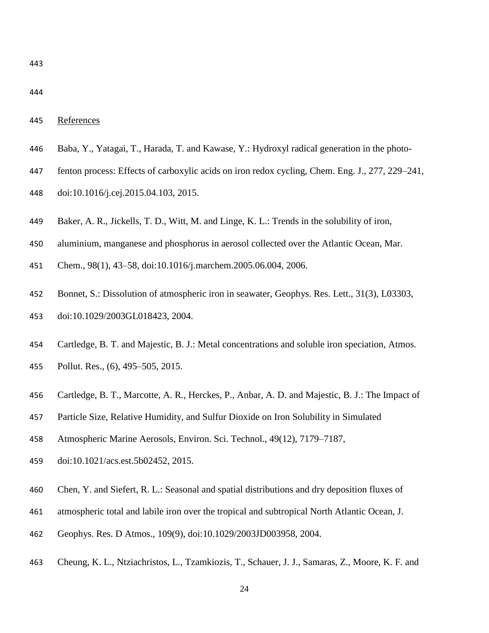|--|

- Baba, Y., Yatagai, T., Harada, T. and Kawase, Y.: Hydroxyl radical generation in the photo-
- fenton process: Effects of carboxylic acids on iron redox cycling, Chem. Eng. J., 277, 229–241,
- doi:10.1016/j.cej.2015.04.103, 2015.
- Baker, A. R., Jickells, T. D., Witt, M. and Linge, K. L.: Trends in the solubility of iron,
- aluminium, manganese and phosphorus in aerosol collected over the Atlantic Ocean, Mar.
- Chem., 98(1), 43–58, doi:10.1016/j.marchem.2005.06.004, 2006.
- Bonnet, S.: Dissolution of atmospheric iron in seawater, Geophys. Res. Lett., 31(3), L03303, doi:10.1029/2003GL018423, 2004.
- Cartledge, B. T. and Majestic, B. J.: Metal concentrations and soluble iron speciation, Atmos. Pollut. Res., (6), 495–505, 2015.
- Cartledge, B. T., Marcotte, A. R., Herckes, P., Anbar, A. D. and Majestic, B. J.: The Impact of
- Particle Size, Relative Humidity, and Sulfur Dioxide on Iron Solubility in Simulated
- Atmospheric Marine Aerosols, Environ. Sci. Technol., 49(12), 7179–7187,
- doi:10.1021/acs.est.5b02452, 2015.
- Chen, Y. and Siefert, R. L.: Seasonal and spatial distributions and dry deposition fluxes of
- atmospheric total and labile iron over the tropical and subtropical North Atlantic Ocean, J.
- Geophys. Res. D Atmos., 109(9), doi:10.1029/2003JD003958, 2004.
- Cheung, K. L., Ntziachristos, L., Tzamkiozis, T., Schauer, J. J., Samaras, Z., Moore, K. F. and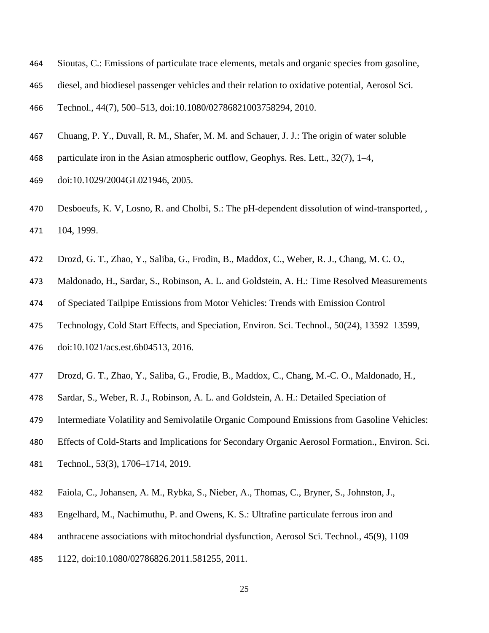- Sioutas, C.: Emissions of particulate trace elements, metals and organic species from gasoline,
- diesel, and biodiesel passenger vehicles and their relation to oxidative potential, Aerosol Sci.

Technol., 44(7), 500–513, doi:10.1080/02786821003758294, 2010.

- Chuang, P. Y., Duvall, R. M., Shafer, M. M. and Schauer, J. J.: The origin of water soluble
- 468 particulate iron in the Asian atmospheric outflow, Geophys. Res. Lett., 32(7), 1–4,
- doi:10.1029/2004GL021946, 2005.
- Desboeufs, K. V, Losno, R. and Cholbi, S.: The pH-dependent dissolution of wind-transported, , 104, 1999.
- Drozd, G. T., Zhao, Y., Saliba, G., Frodin, B., Maddox, C., Weber, R. J., Chang, M. C. O.,
- Maldonado, H., Sardar, S., Robinson, A. L. and Goldstein, A. H.: Time Resolved Measurements
- of Speciated Tailpipe Emissions from Motor Vehicles: Trends with Emission Control
- Technology, Cold Start Effects, and Speciation, Environ. Sci. Technol., 50(24), 13592–13599,
- doi:10.1021/acs.est.6b04513, 2016.
- Drozd, G. T., Zhao, Y., Saliba, G., Frodie, B., Maddox, C., Chang, M.-C. O., Maldonado, H.,
- Sardar, S., Weber, R. J., Robinson, A. L. and Goldstein, A. H.: Detailed Speciation of
- Intermediate Volatility and Semivolatile Organic Compound Emissions from Gasoline Vehicles:
- Effects of Cold-Starts and Implications for Secondary Organic Aerosol Formation., Environ. Sci.
- Technol., 53(3), 1706–1714, 2019.
- Faiola, C., Johansen, A. M., Rybka, S., Nieber, A., Thomas, C., Bryner, S., Johnston, J.,
- Engelhard, M., Nachimuthu, P. and Owens, K. S.: Ultrafine particulate ferrous iron and
- anthracene associations with mitochondrial dysfunction, Aerosol Sci. Technol., 45(9), 1109–
- 1122, doi:10.1080/02786826.2011.581255, 2011.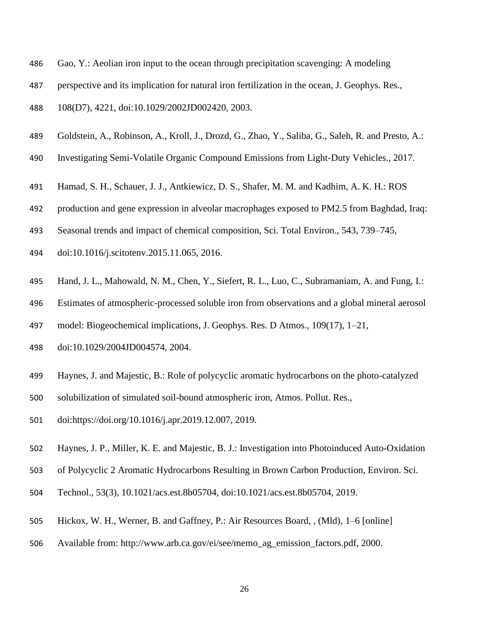- Gao, Y.: Aeolian iron input to the ocean through precipitation scavenging: A modeling
- perspective and its implication for natural iron fertilization in the ocean, J. Geophys. Res.,
- 108(D7), 4221, doi:10.1029/2002JD002420, 2003.
- Goldstein, A., Robinson, A., Kroll, J., Drozd, G., Zhao, Y., Saliba, G., Saleh, R. and Presto, A.:
- Investigating Semi-Volatile Organic Compound Emissions from Light-Duty Vehicles., 2017.
- Hamad, S. H., Schauer, J. J., Antkiewicz, D. S., Shafer, M. M. and Kadhim, A. K. H.: ROS
- production and gene expression in alveolar macrophages exposed to PM2.5 from Baghdad, Iraq:
- Seasonal trends and impact of chemical composition, Sci. Total Environ., 543, 739–745,
- doi:10.1016/j.scitotenv.2015.11.065, 2016.
- Hand, J. L., Mahowald, N. M., Chen, Y., Siefert, R. L., Luo, C., Subramaniam, A. and Fung, I.:
- Estimates of atmospheric-processed soluble iron from observations and a global mineral aerosol
- model: Biogeochemical implications, J. Geophys. Res. D Atmos., 109(17), 1–21,
- doi:10.1029/2004JD004574, 2004.
- Haynes, J. and Majestic, B.: Role of polycyclic aromatic hydrocarbons on the photo-catalyzed
- solubilization of simulated soil-bound atmospheric iron, Atmos. Pollut. Res.,
- doi:https://doi.org/10.1016/j.apr.2019.12.007, 2019.
- Haynes, J. P., Miller, K. E. and Majestic, B. J.: Investigation into Photoinduced Auto-Oxidation
- of Polycyclic 2 Aromatic Hydrocarbons Resulting in Brown Carbon Production, Environ. Sci.
- Technol., 53(3), 10.1021/acs.est.8b05704, doi:10.1021/acs.est.8b05704, 2019.
- Hickox, W. H., Werner, B. and Gaffney, P.: Air Resources Board, , (Mld), 1–6 [online]
- Available from: http://www.arb.ca.gov/ei/see/memo\_ag\_emission\_factors.pdf, 2000.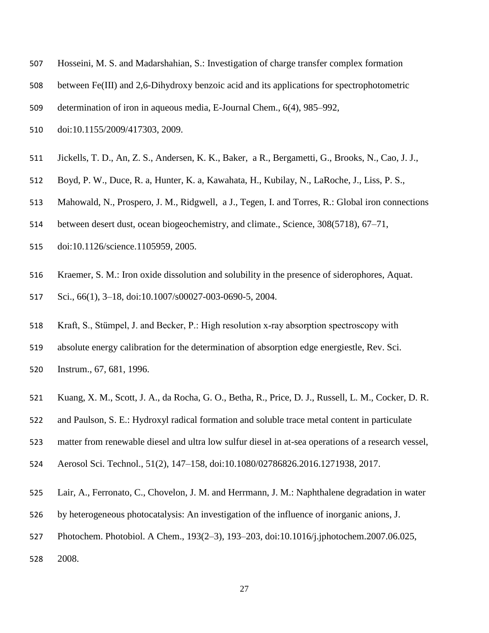- Hosseini, M. S. and Madarshahian, S.: Investigation of charge transfer complex formation
- between Fe(III) and 2,6-Dihydroxy benzoic acid and its applications for spectrophotometric
- determination of iron in aqueous media, E-Journal Chem., 6(4), 985–992,
- doi:10.1155/2009/417303, 2009.
- Jickells, T. D., An, Z. S., Andersen, K. K., Baker, a R., Bergametti, G., Brooks, N., Cao, J. J.,
- Boyd, P. W., Duce, R. a, Hunter, K. a, Kawahata, H., Kubilay, N., LaRoche, J., Liss, P. S.,
- Mahowald, N., Prospero, J. M., Ridgwell, a J., Tegen, I. and Torres, R.: Global iron connections
- between desert dust, ocean biogeochemistry, and climate., Science, 308(5718), 67–71,
- doi:10.1126/science.1105959, 2005.
- Kraemer, S. M.: Iron oxide dissolution and solubility in the presence of siderophores, Aquat.
- Sci., 66(1), 3–18, doi:10.1007/s00027-003-0690-5, 2004.
- Kraft, S., Stümpel, J. and Becker, P.: High resolution x‐ray absorption spectroscopy with
- absolute energy calibration for the determination of absorption edge energiestle, Rev. Sci. Instrum., 67, 681, 1996.
- Kuang, X. M., Scott, J. A., da Rocha, G. O., Betha, R., Price, D. J., Russell, L. M., Cocker, D. R.
- and Paulson, S. E.: Hydroxyl radical formation and soluble trace metal content in particulate
- matter from renewable diesel and ultra low sulfur diesel in at-sea operations of a research vessel,
- Aerosol Sci. Technol., 51(2), 147–158, doi:10.1080/02786826.2016.1271938, 2017.
- Lair, A., Ferronato, C., Chovelon, J. M. and Herrmann, J. M.: Naphthalene degradation in water
- by heterogeneous photocatalysis: An investigation of the influence of inorganic anions, J.
- Photochem. Photobiol. A Chem., 193(2–3), 193–203, doi:10.1016/j.jphotochem.2007.06.025,
- 2008.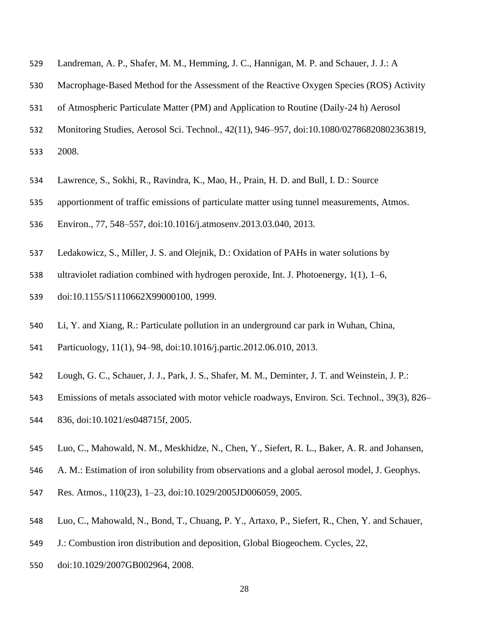- Landreman, A. P., Shafer, M. M., Hemming, J. C., Hannigan, M. P. and Schauer, J. J.: A
- Macrophage-Based Method for the Assessment of the Reactive Oxygen Species (ROS) Activity
- of Atmospheric Particulate Matter (PM) and Application to Routine (Daily-24 h) Aerosol
- Monitoring Studies, Aerosol Sci. Technol., 42(11), 946–957, doi:10.1080/02786820802363819,
- 2008.
- Lawrence, S., Sokhi, R., Ravindra, K., Mao, H., Prain, H. D. and Bull, I. D.: Source
- apportionment of traffic emissions of particulate matter using tunnel measurements, Atmos.
- Environ., 77, 548–557, doi:10.1016/j.atmosenv.2013.03.040, 2013.
- Ledakowicz, S., Miller, J. S. and Olejnik, D.: Oxidation of PAHs in water solutions by
- ultraviolet radiation combined with hydrogen peroxide, Int. J. Photoenergy, 1(1), 1–6,
- doi:10.1155/S1110662X99000100, 1999.
- Li, Y. and Xiang, R.: Particulate pollution in an underground car park in Wuhan, China,
- Particuology, 11(1), 94–98, doi:10.1016/j.partic.2012.06.010, 2013.
- Lough, G. C., Schauer, J. J., Park, J. S., Shafer, M. M., Deminter, J. T. and Weinstein, J. P.:
- Emissions of metals associated with motor vehicle roadways, Environ. Sci. Technol., 39(3), 826–
- 836, doi:10.1021/es048715f, 2005.
- Luo, C., Mahowald, N. M., Meskhidze, N., Chen, Y., Siefert, R. L., Baker, A. R. and Johansen,
- A. M.: Estimation of iron solubility from observations and a global aerosol model, J. Geophys.
- Res. Atmos., 110(23), 1–23, doi:10.1029/2005JD006059, 2005.
- Luo, C., Mahowald, N., Bond, T., Chuang, P. Y., Artaxo, P., Siefert, R., Chen, Y. and Schauer,
- J.: Combustion iron distribution and deposition, Global Biogeochem. Cycles, 22,
- doi:10.1029/2007GB002964, 2008.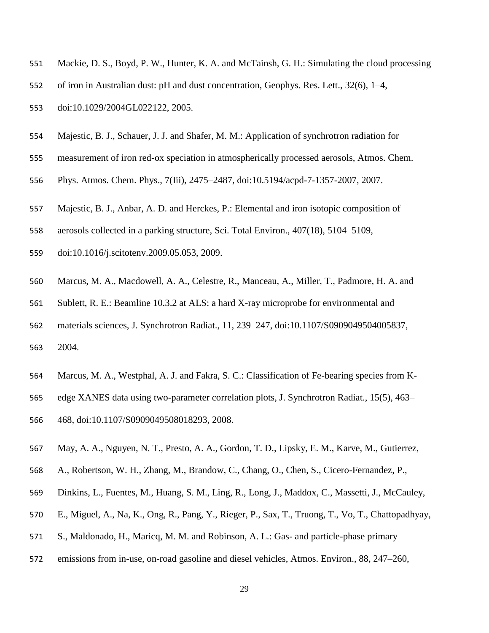- Mackie, D. S., Boyd, P. W., Hunter, K. A. and McTainsh, G. H.: Simulating the cloud processing
- of iron in Australian dust: pH and dust concentration, Geophys. Res. Lett., 32(6), 1–4,
- doi:10.1029/2004GL022122, 2005.
- Majestic, B. J., Schauer, J. J. and Shafer, M. M.: Application of synchrotron radiation for
- measurement of iron red-ox speciation in atmospherically processed aerosols, Atmos. Chem.
- Phys. Atmos. Chem. Phys., 7(Iii), 2475–2487, doi:10.5194/acpd-7-1357-2007, 2007.
- Majestic, B. J., Anbar, A. D. and Herckes, P.: Elemental and iron isotopic composition of
- aerosols collected in a parking structure, Sci. Total Environ., 407(18), 5104–5109,
- doi:10.1016/j.scitotenv.2009.05.053, 2009.
- Marcus, M. A., Macdowell, A. A., Celestre, R., Manceau, A., Miller, T., Padmore, H. A. and
- Sublett, R. E.: Beamline 10.3.2 at ALS: a hard X-ray microprobe for environmental and
- materials sciences, J. Synchrotron Radiat., 11, 239–247, doi:10.1107/S0909049504005837, 2004.
- Marcus, M. A., Westphal, A. J. and Fakra, S. C.: Classification of Fe-bearing species from K-
- edge XANES data using two-parameter correlation plots, J. Synchrotron Radiat., 15(5), 463–
- 468, doi:10.1107/S0909049508018293, 2008.
- May, A. A., Nguyen, N. T., Presto, A. A., Gordon, T. D., Lipsky, E. M., Karve, M., Gutierrez,
- A., Robertson, W. H., Zhang, M., Brandow, C., Chang, O., Chen, S., Cicero-Fernandez, P.,
- Dinkins, L., Fuentes, M., Huang, S. M., Ling, R., Long, J., Maddox, C., Massetti, J., McCauley,
- E., Miguel, A., Na, K., Ong, R., Pang, Y., Rieger, P., Sax, T., Truong, T., Vo, T., Chattopadhyay,
- S., Maldonado, H., Maricq, M. M. and Robinson, A. L.: Gas- and particle-phase primary
- emissions from in-use, on-road gasoline and diesel vehicles, Atmos. Environ., 88, 247–260,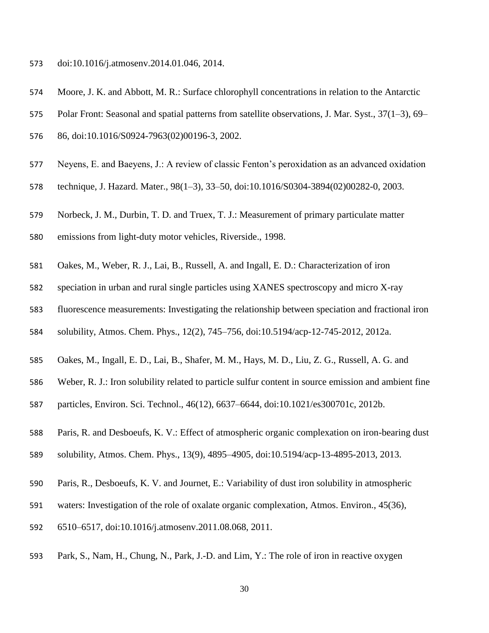- doi:10.1016/j.atmosenv.2014.01.046, 2014.
- Moore, J. K. and Abbott, M. R.: Surface chlorophyll concentrations in relation to the Antarctic
- Polar Front: Seasonal and spatial patterns from satellite observations, J. Mar. Syst., 37(1–3), 69–
- 86, doi:10.1016/S0924-7963(02)00196-3, 2002.
- Neyens, E. and Baeyens, J.: A review of classic Fenton's peroxidation as an advanced oxidation
- technique, J. Hazard. Mater., 98(1–3), 33–50, doi:10.1016/S0304-3894(02)00282-0, 2003.
- Norbeck, J. M., Durbin, T. D. and Truex, T. J.: Measurement of primary particulate matter
- emissions from light-duty motor vehicles, Riverside., 1998.
- Oakes, M., Weber, R. J., Lai, B., Russell, A. and Ingall, E. D.: Characterization of iron
- speciation in urban and rural single particles using XANES spectroscopy and micro X-ray
- fluorescence measurements: Investigating the relationship between speciation and fractional iron
- solubility, Atmos. Chem. Phys., 12(2), 745–756, doi:10.5194/acp-12-745-2012, 2012a.
- Oakes, M., Ingall, E. D., Lai, B., Shafer, M. M., Hays, M. D., Liu, Z. G., Russell, A. G. and
- Weber, R. J.: Iron solubility related to particle sulfur content in source emission and ambient fine
- particles, Environ. Sci. Technol., 46(12), 6637–6644, doi:10.1021/es300701c, 2012b.
- Paris, R. and Desboeufs, K. V.: Effect of atmospheric organic complexation on iron-bearing dust
- solubility, Atmos. Chem. Phys., 13(9), 4895–4905, doi:10.5194/acp-13-4895-2013, 2013.
- Paris, R., Desboeufs, K. V. and Journet, E.: Variability of dust iron solubility in atmospheric
- waters: Investigation of the role of oxalate organic complexation, Atmos. Environ., 45(36),
- 6510–6517, doi:10.1016/j.atmosenv.2011.08.068, 2011.
- Park, S., Nam, H., Chung, N., Park, J.-D. and Lim, Y.: The role of iron in reactive oxygen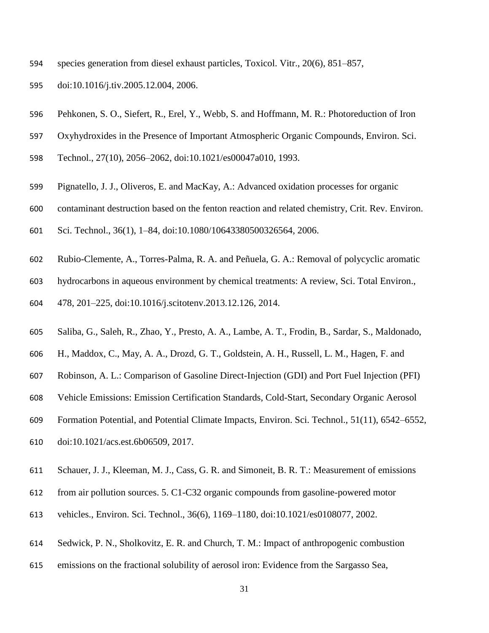- species generation from diesel exhaust particles, Toxicol. Vitr., 20(6), 851–857,
- doi:10.1016/j.tiv.2005.12.004, 2006.
- Pehkonen, S. O., Siefert, R., Erel, Y., Webb, S. and Hoffmann, M. R.: Photoreduction of Iron
- Oxyhydroxides in the Presence of Important Atmospheric Organic Compounds, Environ. Sci.
- Technol., 27(10), 2056–2062, doi:10.1021/es00047a010, 1993.
- Pignatello, J. J., Oliveros, E. and MacKay, A.: Advanced oxidation processes for organic
- contaminant destruction based on the fenton reaction and related chemistry, Crit. Rev. Environ.
- Sci. Technol., 36(1), 1–84, doi:10.1080/10643380500326564, 2006.
- Rubio-Clemente, A., Torres-Palma, R. A. and Peñuela, G. A.: Removal of polycyclic aromatic
- hydrocarbons in aqueous environment by chemical treatments: A review, Sci. Total Environ.,
- 478, 201–225, doi:10.1016/j.scitotenv.2013.12.126, 2014.
- Saliba, G., Saleh, R., Zhao, Y., Presto, A. A., Lambe, A. T., Frodin, B., Sardar, S., Maldonado,
- H., Maddox, C., May, A. A., Drozd, G. T., Goldstein, A. H., Russell, L. M., Hagen, F. and
- Robinson, A. L.: Comparison of Gasoline Direct-Injection (GDI) and Port Fuel Injection (PFI)
- Vehicle Emissions: Emission Certification Standards, Cold-Start, Secondary Organic Aerosol
- Formation Potential, and Potential Climate Impacts, Environ. Sci. Technol., 51(11), 6542–6552,
- doi:10.1021/acs.est.6b06509, 2017.
- Schauer, J. J., Kleeman, M. J., Cass, G. R. and Simoneit, B. R. T.: Measurement of emissions
- from air pollution sources. 5. C1-C32 organic compounds from gasoline-powered motor
- vehicles., Environ. Sci. Technol., 36(6), 1169–1180, doi:10.1021/es0108077, 2002.
- Sedwick, P. N., Sholkovitz, E. R. and Church, T. M.: Impact of anthropogenic combustion
- emissions on the fractional solubility of aerosol iron: Evidence from the Sargasso Sea,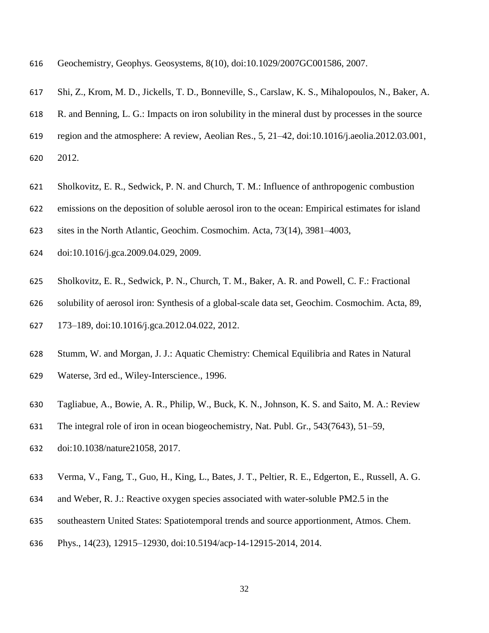- Geochemistry, Geophys. Geosystems, 8(10), doi:10.1029/2007GC001586, 2007.
- Shi, Z., Krom, M. D., Jickells, T. D., Bonneville, S., Carslaw, K. S., Mihalopoulos, N., Baker, A.
- R. and Benning, L. G.: Impacts on iron solubility in the mineral dust by processes in the source
- region and the atmosphere: A review, Aeolian Res., 5, 21–42, doi:10.1016/j.aeolia.2012.03.001,
- 2012.
- Sholkovitz, E. R., Sedwick, P. N. and Church, T. M.: Influence of anthropogenic combustion
- emissions on the deposition of soluble aerosol iron to the ocean: Empirical estimates for island
- sites in the North Atlantic, Geochim. Cosmochim. Acta, 73(14), 3981–4003,
- doi:10.1016/j.gca.2009.04.029, 2009.
- Sholkovitz, E. R., Sedwick, P. N., Church, T. M., Baker, A. R. and Powell, C. F.: Fractional
- solubility of aerosol iron: Synthesis of a global-scale data set, Geochim. Cosmochim. Acta, 89,
- 173–189, doi:10.1016/j.gca.2012.04.022, 2012.
- Stumm, W. and Morgan, J. J.: Aquatic Chemistry: Chemical Equilibria and Rates in Natural Waterse, 3rd ed., Wiley-Interscience., 1996.
- Tagliabue, A., Bowie, A. R., Philip, W., Buck, K. N., Johnson, K. S. and Saito, M. A.: Review
- The integral role of iron in ocean biogeochemistry, Nat. Publ. Gr., 543(7643), 51–59,
- doi:10.1038/nature21058, 2017.
- Verma, V., Fang, T., Guo, H., King, L., Bates, J. T., Peltier, R. E., Edgerton, E., Russell, A. G.
- and Weber, R. J.: Reactive oxygen species associated with water-soluble PM2.5 in the
- southeastern United States: Spatiotemporal trends and source apportionment, Atmos. Chem.
- Phys., 14(23), 12915–12930, doi:10.5194/acp-14-12915-2014, 2014.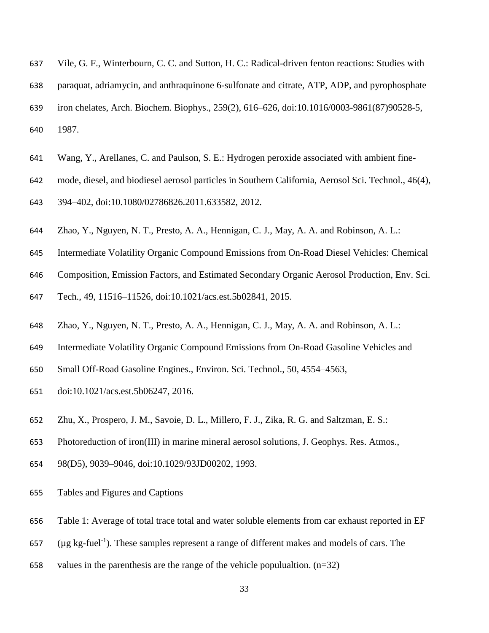- Vile, G. F., Winterbourn, C. C. and Sutton, H. C.: Radical-driven fenton reactions: Studies with paraquat, adriamycin, and anthraquinone 6-sulfonate and citrate, ATP, ADP, and pyrophosphate iron chelates, Arch. Biochem. Biophys., 259(2), 616–626, doi:10.1016/0003-9861(87)90528-5, 1987.
- Wang, Y., Arellanes, C. and Paulson, S. E.: Hydrogen peroxide associated with ambient fine-
- mode, diesel, and biodiesel aerosol particles in Southern California, Aerosol Sci. Technol., 46(4),

394–402, doi:10.1080/02786826.2011.633582, 2012.

- Zhao, Y., Nguyen, N. T., Presto, A. A., Hennigan, C. J., May, A. A. and Robinson, A. L.:
- Intermediate Volatility Organic Compound Emissions from On-Road Diesel Vehicles: Chemical
- Composition, Emission Factors, and Estimated Secondary Organic Aerosol Production, Env. Sci.

Tech., 49, 11516–11526, doi:10.1021/acs.est.5b02841, 2015.

- Zhao, Y., Nguyen, N. T., Presto, A. A., Hennigan, C. J., May, A. A. and Robinson, A. L.:
- Intermediate Volatility Organic Compound Emissions from On-Road Gasoline Vehicles and
- Small Off-Road Gasoline Engines., Environ. Sci. Technol., 50, 4554–4563,
- doi:10.1021/acs.est.5b06247, 2016.
- Zhu, X., Prospero, J. M., Savoie, D. L., Millero, F. J., Zika, R. G. and Saltzman, E. S.:
- Photoreduction of iron(III) in marine mineral aerosol solutions, J. Geophys. Res. Atmos.,
- 98(D5), 9039–9046, doi:10.1029/93JD00202, 1993.
- Tables and Figures and Captions
- Table 1: Average of total trace total and water soluble elements from car exhaust reported in EF
- 657 ( $\mu$ g kg-fuel<sup>-1</sup>). These samples represent a range of different makes and models of cars. The
- 658 values in the parenthesis are the range of the vehicle populualtion.  $(n=32)$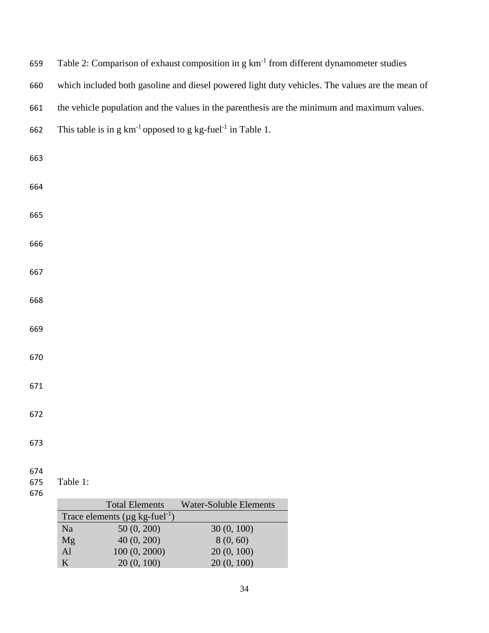| 659        | Table 2: Comparison of exhaust composition in g km <sup>-1</sup> from different dynamometer studies |
|------------|-----------------------------------------------------------------------------------------------------|
| 660        | which included both gasoline and diesel powered light duty vehicles. The values are the mean of     |
| 661        | the vehicle population and the values in the parenthesis are the minimum and maximum values.        |
| 662        | This table is in $g \, km^{-1}$ opposed to $g \, kg$ -fuel <sup>-1</sup> in Table 1.                |
| 663        |                                                                                                     |
|            |                                                                                                     |
| 664        |                                                                                                     |
| 665        |                                                                                                     |
|            |                                                                                                     |
| 666        |                                                                                                     |
| 667        |                                                                                                     |
|            |                                                                                                     |
| 668        |                                                                                                     |
| 669        |                                                                                                     |
| 670        |                                                                                                     |
|            |                                                                                                     |
| 671        |                                                                                                     |
| 672        |                                                                                                     |
|            |                                                                                                     |
| 673        |                                                                                                     |
| 674        |                                                                                                     |
| 675<br>676 | Table 1:                                                                                            |
|            | <b>Total Elements</b><br><b>Water-Soluble Elements</b>                                              |
|            | Trace elements ( $\mu$ g kg-fuel <sup>-1</sup> )                                                    |
|            | 50(0, 200)<br>30 (0, 100)<br>Na                                                                     |
|            | 40 (0, 200)<br>8(0, 60)<br>Mg                                                                       |
|            | AI<br>100(0, 2000)<br>20 (0, 100)<br>20(0, 100)<br>20 (0, 100)<br>$\bf K$                           |
|            |                                                                                                     |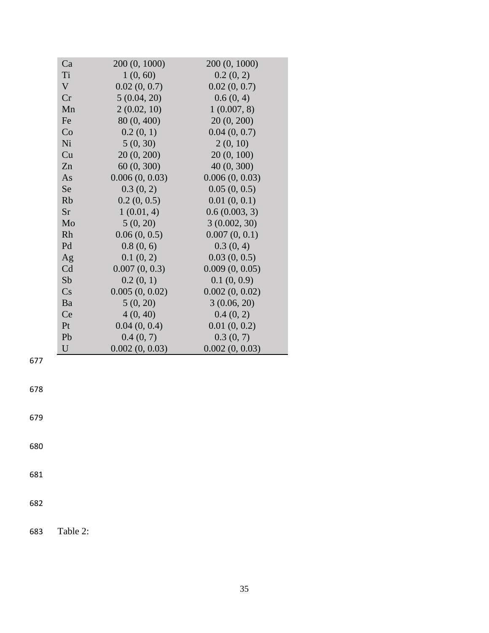|          | Ca          | 200 (0, 1000)  | 200 (0, 1000)  |
|----------|-------------|----------------|----------------|
|          | Ti          | 1(0, 60)       | 0.2(0, 2)      |
|          | $\mathbf V$ | 0.02(0, 0.7)   | 0.02(0, 0.7)   |
|          | Cr          | 5(0.04, 20)    | 0.6(0, 4)      |
|          | Mn          | 2(0.02, 10)    | 1(0.007, 8)    |
|          | Fe          | 80 (0, 400)    | 20 (0, 200)    |
|          | Co          | 0.2(0, 1)      | 0.04(0, 0.7)   |
|          | Ni          | 5(0, 30)       | 2(0, 10)       |
|          | Cu          | 20 (0, 200)    | 20 (0, 100)    |
|          | Zn          | 60 (0, 300)    | 40 (0, 300)    |
|          | As          | 0.006(0, 0.03) | 0.006(0, 0.03) |
|          | Se          | 0.3(0, 2)      | 0.05(0, 0.5)   |
|          | <b>Rb</b>   | 0.2(0, 0.5)    | 0.01(0, 0.1)   |
|          | Sr          | 1(0.01, 4)     | 0.6(0.003, 3)  |
|          | Mo          | 5(0, 20)       | 3(0.002, 30)   |
|          | Rh          | 0.06(0, 0.5)   | 0.007(0, 0.1)  |
|          | Pd          | 0.8(0, 6)      | 0.3(0, 4)      |
|          | Ag          | 0.1(0, 2)      | 0.03(0, 0.5)   |
|          | Cd          | 0.007(0, 0.3)  | 0.009(0, 0.05) |
|          | Sb          | 0.2(0, 1)      | 0.1(0, 0.9)    |
|          | Cs          | 0.005(0, 0.02) | 0.002(0, 0.02) |
|          | Ba          | 5(0, 20)       | 3(0.06, 20)    |
|          | Ce          | 4(0, 40)       | 0.4(0, 2)      |
|          | Pt          | 0.04(0, 0.4)   | 0.01(0, 0.2)   |
|          | Pb          | 0.4(0, 7)      | 0.3(0, 7)      |
|          | $\mathbf U$ | 0.002(0, 0.03) | 0.002(0, 0.03) |
|          |             |                |                |
|          |             |                |                |
|          |             |                |                |
|          |             |                |                |
|          |             |                |                |
|          |             |                |                |
|          |             |                |                |
|          |             |                |                |
|          |             |                |                |
|          |             |                |                |
|          |             |                |                |
|          |             |                |                |
|          |             |                |                |
|          |             |                |                |
| Table 2: |             |                |                |
|          |             |                |                |

678

679

680

681

682